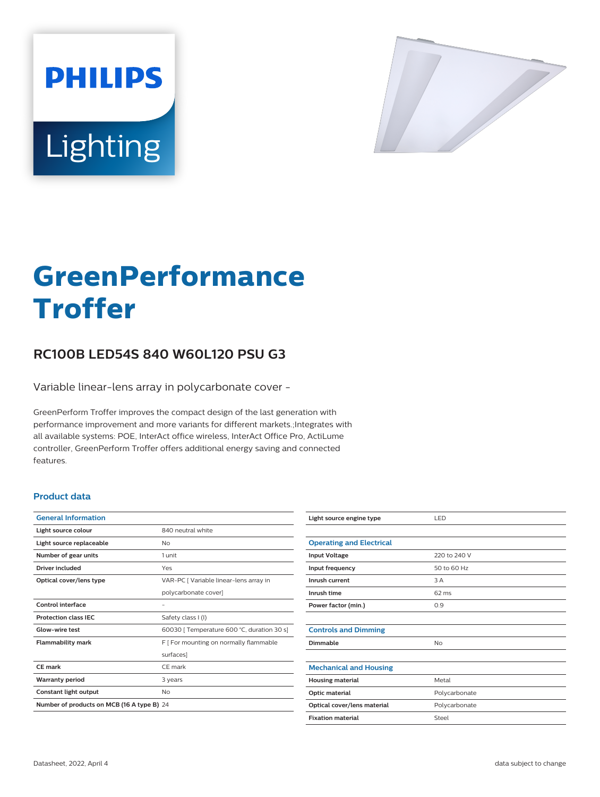



# **GreenPerformance Troffer**

# **RC100B LED54S 840 W60L120 PSU G3**

Variable linear-lens array in polycarbonate cover -

GreenPerform Troffer improves the compact design of the last generation with performance improvement and more variants for different markets.;Integrates with all available systems: POE, InterAct office wireless, InterAct Office Pro, ActiLume controller, GreenPerform Troffer offers additional energy saving and connected features.

### **Product data**

| <b>General Information</b>                 |                                            |
|--------------------------------------------|--------------------------------------------|
| Light source colour                        | 840 neutral white                          |
| Light source replaceable                   | Nο                                         |
| Number of gear units                       | 1 unit                                     |
| Driver included                            | Yes                                        |
| Optical cover/lens type                    | VAR-PC [ Variable linear-lens array in     |
|                                            | polycarbonate cover]                       |
| Control interface                          |                                            |
| <b>Protection class IEC</b>                | Safety class I (I)                         |
| Glow-wire test                             | 60030   Temperature 600 °C, duration 30 s] |
| <b>Flammability mark</b>                   | F [ For mounting on normally flammable     |
|                                            | surfaces]                                  |
| CF mark                                    | CF mark                                    |
| <b>Warranty period</b>                     | 3 years                                    |
| Constant light output                      | No                                         |
| Number of products on MCB (16 A type B) 24 |                                            |

| Light source engine type        | LED           |
|---------------------------------|---------------|
|                                 |               |
| <b>Operating and Electrical</b> |               |
| <b>Input Voltage</b>            | 220 to 240 V  |
| Input frequency                 | 50 to 60 Hz   |
| Inrush current                  | 3 A           |
| Inrush time                     | 62 ms         |
| Power factor (min.)             | 0.9           |
|                                 |               |
| <b>Controls and Dimming</b>     |               |
| Dimmable                        | No            |
|                                 |               |
| <b>Mechanical and Housing</b>   |               |
| <b>Housing material</b>         | Metal         |
| Optic material                  | Polycarbonate |
| Optical cover/lens material     | Polycarbonate |
| <b>Fixation material</b>        | Steel         |
|                                 |               |